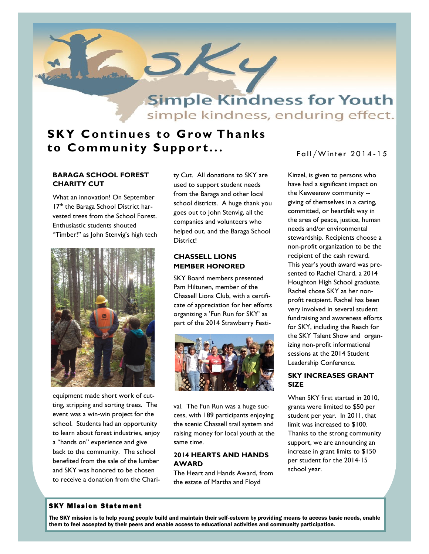

simple kindness, enduring effect.

## **SKY Continues to Grow Thanks to Community Support...**

## **BARAGA SCHOOL FOREST CHARITY CUT**

What an innovation! On September 17<sup>th</sup> the Baraga School District harvested trees from the School Forest. Enthusiastic students shouted "Timber!" as John Stenvig's high tech



equipment made short work of cutting, stripping and sorting trees. The event was a win-win project for the school. Students had an opportunity to learn about forest industries, enjoy a "hands on" experience and give back to the community. The school benefited from the sale of the lumber and SKY was honored to be chosen to receive a donation from the Chari-

ty Cut. All donations to SKY are used to support student needs from the Baraga and other local school districts. A huge thank you goes out to John Stenvig, all the companies and volunteers who helped out, and the Baraga School District!

## **CHASSELL LIONS MEMBER HONORED**

SKY Board members presented Pam Hiltunen, member of the Chassell Lions Club, with a certificate of appreciation for her efforts organizing a 'Fun Run for SKY' as part of the 2014 Strawberry Festi-



val. The Fun Run was a huge success, with 189 participants enjoying the scenic Chassell trail system and raising money for local youth at the same time.

## **2014 HEARTS AND HANDS AWARD**

The Heart and Hands Award, from the estate of Martha and Floyd

Fall/Winter 2014-15

Kinzel, is given to persons who have had a significant impact on the Keweenaw community - giving of themselves in a caring, committed, or heartfelt way in the area of peace, justice, human needs and/or environmental stewardship. Recipients choose a non-profit organization to be the recipient of the cash reward. This year's youth award was presented to Rachel Chard, a 2014 Houghton High School graduate. Rachel chose SKY as her nonprofit recipient. Rachel has been very involved in several student fundraising and awareness efforts for SKY, including the Reach for the SKY Talent Show and organizing non-profit informational sessions at the 2014 Student Leadership Conference.

### **SKY INCREASES GRANT SIZE**

When SKY first started in 2010, grants were limited to \$50 per student per year. In 2011, that limit was increased to \$100. Thanks to the strong community support, we are announcing an increase in grant limits to \$150 per student for the 2014-15 school year.

### **SKY Mission Statement**

The SKY mission is to help young people build and maintain their self-esteem by providing means to access basic needs, enable them to feel accepted by their peers and enable access to educational activities and community participation.